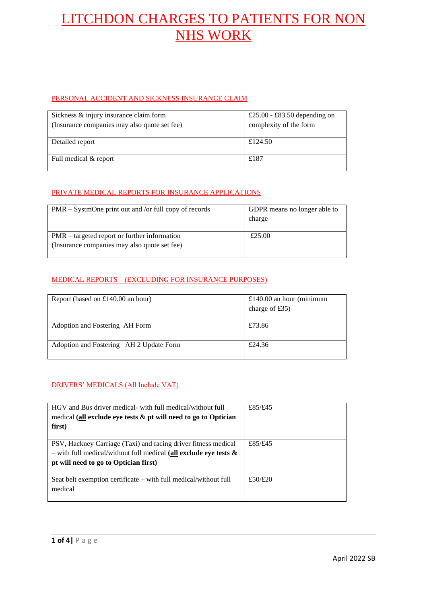#### PERSONAL ACCIDENT AND SICKNESS INSURANCE CLAIM

| Sickness & injury insurance claim form       | £25.00 - £83.50 depending on |
|----------------------------------------------|------------------------------|
| (Insurance companies may also quote set fee) | complexity of the form       |
|                                              |                              |
| Detailed report                              | £124.50                      |
|                                              |                              |
| Full medical & report                        | £187                         |
|                                              |                              |

#### PRIVATE MEDICAL REPORTS FOR INSURANCE APPLICATIONS

| $PMR - SystemOne print out and/or full copy of records$ | GDPR means no longer able to |
|---------------------------------------------------------|------------------------------|
|                                                         | charge                       |
|                                                         |                              |
| $PMR$ – targeted report or further information          | £25.00                       |
| (Insurance companies may also quote set fee)            |                              |
|                                                         |                              |

#### MEDICAL REPORTS – (EXCLUDING FOR INSURANCE PURPOSES)

| Report (based on £140.00 an hour)       | £140.00 an hour (minimum<br>charge of $£35)$ |
|-----------------------------------------|----------------------------------------------|
| Adoption and Fostering AH Form          | £73.86                                       |
| Adoption and Fostering AH 2 Update Form | £24.36                                       |

#### DRIVERS' MEDICALS (All Include VAT)

| HGV and Bus driver medical- with full medical/without full<br>medical (all exclude eye tests $\&$ pt will need to go to Optician<br>first)                                      | £85/£45 |
|---------------------------------------------------------------------------------------------------------------------------------------------------------------------------------|---------|
| PSV, Hackney Carriage (Taxi) and racing driver fitness medical<br>- with full medical/without full medical (all exclude eye tests $\&$<br>pt will need to go to Optician first) | £85/£45 |
| Seat belt exemption certificate – with full medical/without full<br>medical                                                                                                     | £50/£20 |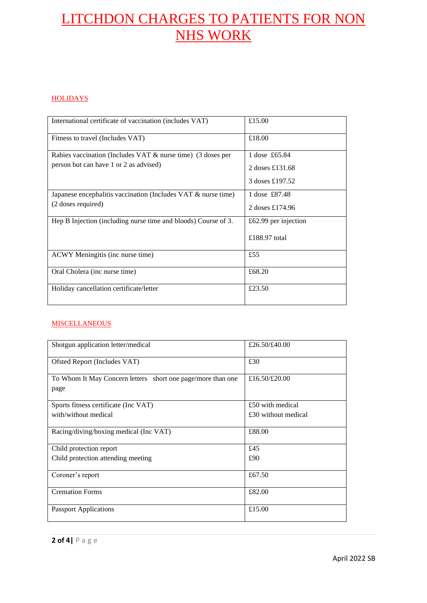#### **HOLIDAYS**

| International certificate of vaccination (includes VAT)                                                  | £15.00                           |
|----------------------------------------------------------------------------------------------------------|----------------------------------|
| Fitness to travel (Includes VAT)                                                                         | £18.00                           |
| Rabies vaccination (Includes VAT $\&$ nurse time) (3 doses per<br>person but can have 1 or 2 as advised) | 1 dose £65.84<br>2 doses £131.68 |
|                                                                                                          | 3 doses £197.52                  |
| Japanese encephalitis vaccination (Includes VAT $\&$ nurse time)                                         | 1 dose £87.48                    |
| (2 doses required)                                                                                       | 2 doses £174.96                  |
| Hep B Injection (including nurse time and bloods) Course of 3.                                           | £62.99 per injection             |
|                                                                                                          | £188.97 total                    |
| ACWY Meningitis (inc nurse time)                                                                         | £55                              |
| Oral Cholera (inc nurse time)                                                                            | £68.20                           |
| Holiday cancellation certificate/letter                                                                  | £23.50                           |

#### **MISCELLANEOUS**

| Shotgun application letter/medical                          | £26.50/£40.00       |
|-------------------------------------------------------------|---------------------|
| Ofsted Report (Includes VAT)                                | £30                 |
| To Whom It May Concern letters short one page/more than one | £16.50/£20.00       |
| page                                                        |                     |
| Sports fitness certificate (Inc VAT)                        | £50 with medical    |
| with/without medical                                        | £30 without medical |
| Racing/diving/boxing medical (Inc VAT)                      | £88.00              |
| Child protection report                                     | £45                 |
| Child protection attending meeting                          | £90                 |
| Coroner's report                                            | £67.50              |
| <b>Cremation Forms</b>                                      | £82.00              |
| <b>Passport Applications</b>                                | £15.00              |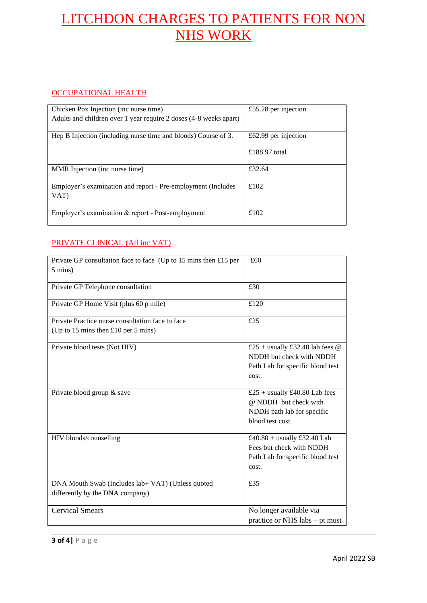### OCCUPATIONAL HEALTH

| Chicken Pox Injection (inc nurse time)                               | £55.28 per injection |
|----------------------------------------------------------------------|----------------------|
| Adults and children over 1 year require 2 doses (4-8 weeks apart)    |                      |
|                                                                      |                      |
| Hep B Injection (including nurse time and bloods) Course of 3.       | £62.99 per injection |
|                                                                      | £188.97 total        |
| MMR Injection (inc nurse time)                                       | £32.64               |
| Employer's examination and report - Pre-employment (Includes<br>VAT) | £102                 |
| Employer's examination & report - Post-employment                    | £102                 |

### PRIVATE CLINICAL (All inc VAT)

| Private GP consultation face to face (Up to 15 mins then £15 per<br>$5 \text{ mins}$ | £60                                                                                                        |
|--------------------------------------------------------------------------------------|------------------------------------------------------------------------------------------------------------|
| Private GP Telephone consultation                                                    | £30                                                                                                        |
| Private GP Home Visit (plus 60 p mile)                                               | £120                                                                                                       |
| Private Practice nurse consultation face to face                                     | £25                                                                                                        |
| (Up to 15 mins then £10 per 5 mins)                                                  |                                                                                                            |
| Private blood tests (Not HIV)                                                        | £25 + usually £32.40 lab fees $@$<br>NDDH but check with NDDH<br>Path Lab for specific blood test<br>cost. |
| Private blood group & save                                                           | £25 + usually £40.80 Lab fees<br>@ NDDH but check with<br>NDDH path lab for specific<br>blood test cost.   |
| HIV bloods/counselling                                                               | £40.80 + usually £32.40 Lab<br>Fees but check with NDDH<br>Path Lab for specific blood test<br>cost.       |
| DNA Mouth Swab (Includes lab+ VAT) (Unless quoted<br>differently by the DNA company) | £35                                                                                                        |
| <b>Cervical Smears</b>                                                               | No longer available via<br>practice or NHS labs – pt must                                                  |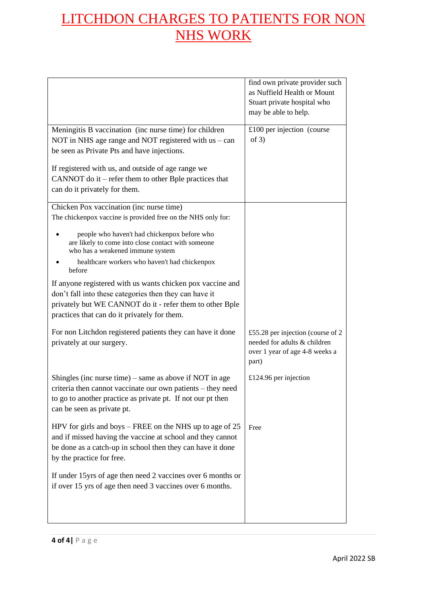|                                                                                                                                                                                                                                  | find own private provider such<br>as Nuffield Health or Mount<br>Stuart private hospital who<br>may be able to help. |
|----------------------------------------------------------------------------------------------------------------------------------------------------------------------------------------------------------------------------------|----------------------------------------------------------------------------------------------------------------------|
| Meningitis B vaccination (inc nurse time) for children<br>NOT in NHS age range and NOT registered with $us - can$<br>be seen as Private Pts and have injections.                                                                 | £100 per injection (course<br>of $3)$                                                                                |
| If registered with us, and outside of age range we<br>CANNOT do it – refer them to other Bple practices that<br>can do it privately for them.                                                                                    |                                                                                                                      |
| Chicken Pox vaccination (inc nurse time)<br>The chickenpox vaccine is provided free on the NHS only for:                                                                                                                         |                                                                                                                      |
| people who haven't had chickenpox before who<br>are likely to come into close contact with someone<br>who has a weakened immune system                                                                                           |                                                                                                                      |
| healthcare workers who haven't had chickenpox<br>before                                                                                                                                                                          |                                                                                                                      |
| If anyone registered with us wants chicken pox vaccine and<br>don't fall into these categories then they can have it<br>privately but WE CANNOT do it - refer them to other Bple<br>practices that can do it privately for them. |                                                                                                                      |
| For non Litchdon registered patients they can have it done<br>privately at our surgery.                                                                                                                                          | £55.28 per injection (course of $2$<br>needed for adults & children<br>over 1 year of age 4-8 weeks a<br>part)       |
| Shingles (inc nurse time) – same as above if NOT in age<br>criteria then cannot vaccinate our own patients – they need<br>to go to another practice as private pt. If not our pt then<br>can be seen as private pt.              | £124.96 per injection                                                                                                |
| HPV for girls and boys – FREE on the NHS up to age of 25<br>and if missed having the vaccine at school and they cannot<br>be done as a catch-up in school then they can have it done<br>by the practice for free.                | Free                                                                                                                 |
| If under 15yrs of age then need 2 vaccines over 6 months or<br>if over 15 yrs of age then need 3 vaccines over 6 months.                                                                                                         |                                                                                                                      |